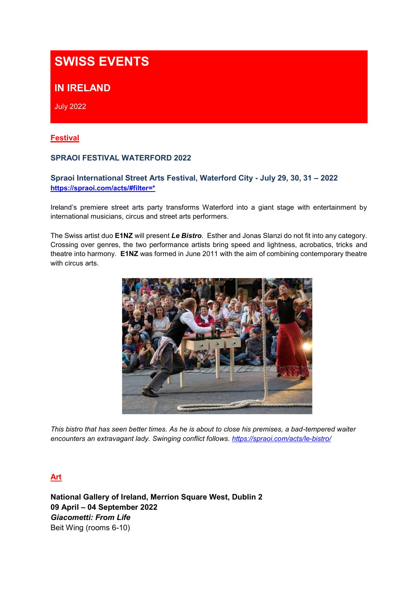# **SWISS EVENTS**

## **IN IRELAND**

July 2022

### **Festival**

### **SPRAOI FESTIVAL WATERFORD 2022**

### **Spraoi International Street Arts Festival, Waterford City - July 29, 30, 31 – 2022 [https://spraoi.com/acts/#filter=\\*](https://spraoi.com/acts/#filter=*)**

Ireland's premiere street arts party transforms Waterford into a giant stage with entertainment by international musicians, circus and street arts performers.

The Swiss artist duo **E1NZ** will present *Le Bistro*. Esther and Jonas Slanzi do not fit into any category. Crossing over genres, the two performance artists bring speed and lightness, acrobatics, tricks and theatre into harmony. **E1NZ** was formed in June 2011 with the aim of combining contemporary theatre with circus arts.



*This bistro that has seen better times. As he is about to close his premises, a bad-tempered waiter encounters an extravagant lady. Swinging conflict follows.<https://spraoi.com/acts/le-bistro/>*

## **Art**

**National Gallery of Ireland, Merrion Square West, Dublin 2 09 April – 04 September 2022** *Giacometti: From Life* Beit Wing (rooms 6-10)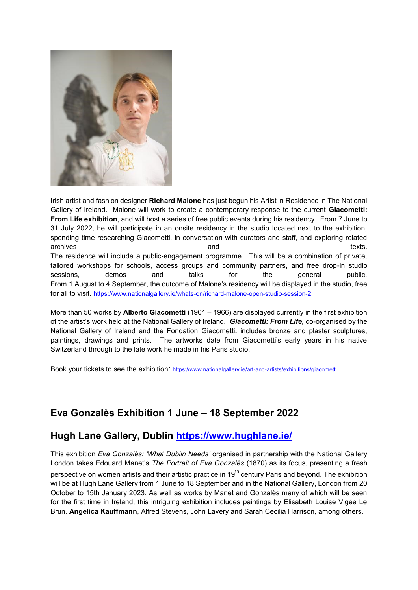

Irish artist and fashion designer **Richard Malone** has just begun his Artist in Residence in The National Gallery of Ireland. Malone will work to create a contemporary response to the current **Giacometti: From Life exhibition**, and will host a series of free public events during his residency. From 7 June to 31 July 2022, he will participate in an onsite residency in the studio located next to the exhibition, spending time researching Giacometti, in conversation with curators and staff, and exploring related archives and texts. The residence will include a public-engagement programme. This will be a combination of private, tailored workshops for schools, access groups and community partners, and free drop-in studio sessions, demos and talks for the general public. From 1 August to 4 September, the outcome of Malone's residency will be displayed in the studio, free for all to visit. <https://www.nationalgallery.ie/whats-on/richard-malone-open-studio-session-2>

More than 50 works by **Alberto Giacometti** (1901 – 1966) are displayed currently in the first exhibition of the artist's work held at the National Gallery of Ireland. *Giacometti: From Life,* co-organised by the National Gallery of Ireland and the Fondation Giacometti*,* includes bronze and plaster sculptures, paintings, drawings and prints. The artworks date from Giacometti's early years in his native Switzerland through to the late work he made in his Paris studio.

Book your tickets to see the exhibition: <https://www.nationalgallery.ie/art-and-artists/exhibitions/giacometti>

## **Eva Gonzalès Exhibition 1 June – 18 September 2022**

## **Hugh Lane Gallery, Dublin <https://www.hughlane.ie/>**

This exhibition *Eva Gonzalès: 'What Dublin Needs'* organised in partnership with the National Gallery London takes Édouard Manet's *The Portrait of Eva Gonzalès* (1870) as its focus, presenting a fresh perspective on women artists and their artistic practice in 19<sup>th</sup> century Paris and beyond. The exhibition will be at Hugh Lane Gallery from 1 June to 18 September and in the National Gallery, London from 20 October to 15th January 2023. As well as works by Manet and Gonzalès many of which will be seen for the first time in Ireland, this intriguing exhibition includes paintings by Elisabeth Louise Vigée Le Brun, **Angelica Kauffmann**, Alfred Stevens, John Lavery and Sarah Cecilia Harrison, among others.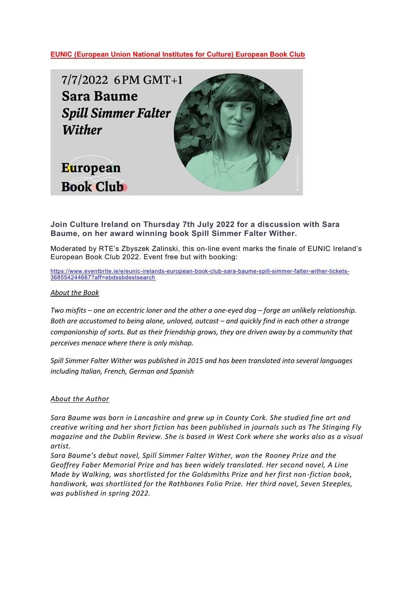**EUNIC (European Union National Institutes for Culture) European Book Club**



**Join Culture Ireland on Thursday 7th July 2022 for a discussion with Sara Baume, on her award winning book Spill Simmer Falter Wither.**

Moderated by RTE's Zbyszek Zalinski, this on-line event marks the finale of EUNIC Ireland's European Book Club 2022. Event free but with booking:

[https://www.eventbrite.ie/e/eunic-irelands-european-book-club-sara-baume-spill-simmer-falter-wither-tickets-](https://www.eventbrite.ie/e/eunic-irelands-european-book-club-sara-baume-spill-simmer-falter-wither-tickets-368554244667?aff=ebdssbdestsearch)[368554244667?aff=ebdssbdestsearch](https://www.eventbrite.ie/e/eunic-irelands-european-book-club-sara-baume-spill-simmer-falter-wither-tickets-368554244667?aff=ebdssbdestsearch)

#### *About the Book*

*Two misfits – one an eccentric loner and the other a one-eyed dog – forge an unlikely relationship.* Both are accustomed to being alone, unloved, outcast – and quickly find in each other a strange *companionship of sorts. But as their friendship grows, they are driven away by a community that perceives menace where there is only mishap.*

*Spill Simmer Falter Wither was published in 2015 and has been translated into several languages including Italian, French, German and Spanish* 

#### *About the Author*

*Sara Baume was born in Lancashire and grew up in County Cork. She studied fine art and creative writing and her short fiction has been published in journals such as The Stinging Fly magazine and the Dublin Review. She is based in West Cork where she works also as a visual artist.*

*Sara Baume's debut novel, Spill Simmer Falter Wither, won the Rooney Prize and the Geoffrey Faber Memorial Prize and has been widely translated. Her second novel, A Line Made by Walking, was shortlisted for the Goldsmiths Prize and her first non-fiction book, handiwork, was shortlisted for the Rathbones Folio Prize. Her third novel, Seven Steeples, was published in spring 2022.*